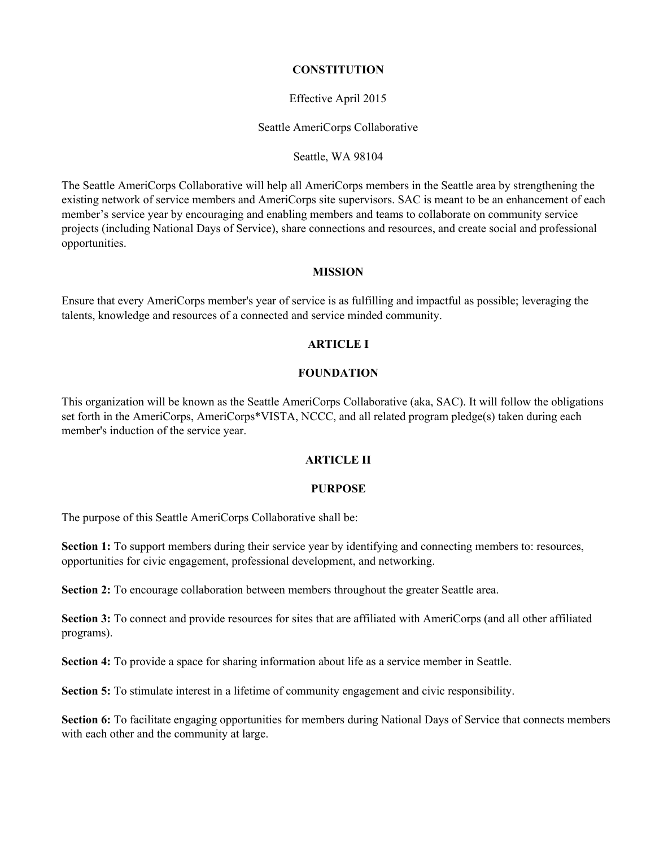## **CONSTITUTION**

## Effective April 2015

Seattle AmeriCorps Collaborative

## Seattle, WA 98104

The Seattle AmeriCorps Collaborative will help all AmeriCorps members in the Seattle area by strengthening the existing network of service members and AmeriCorps site supervisors. SAC is meant to be an enhancement of each member's service year by encouraging and enabling members and teams to collaborate on community service projects (including National Days of Service), share connections and resources, and create social and professional opportunities.

## **MISSION**

Ensure that every AmeriCorps member's year of service is as fulfilling and impactful as possible; leveraging the talents, knowledge and resources of a connected and service minded community.

# **ARTICLE I**

## **FOUNDATION**

This organization will be known as the Seattle AmeriCorps Collaborative (aka, SAC). It will follow the obligations set forth in the AmeriCorps, AmeriCorps\*VISTA, NCCC, and all related program pledge(s) taken during each member's induction of the service year.

## **ARTICLE II**

## **PURPOSE**

The purpose of this Seattle AmeriCorps Collaborative shall be:

**Section 1:** To support members during their service year by identifying and connecting members to: resources, opportunities for civic engagement, professional development, and networking.

**Section 2:** To encourage collaboration between members throughout the greater Seattle area.

**Section 3:** To connect and provide resources for sites that are affiliated with AmeriCorps (and all other affiliated programs).

**Section 4:** To provide a space for sharing information about life as a service member in Seattle.

**Section 5:** To stimulate interest in a lifetime of community engagement and civic responsibility.

**Section 6:** To facilitate engaging opportunities for members during National Days of Service that connects members with each other and the community at large.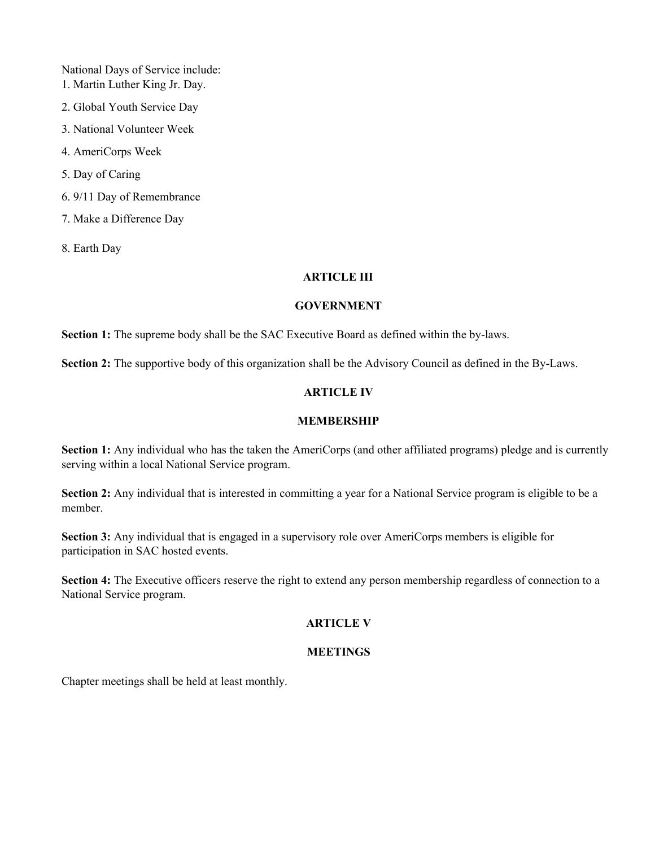National Days of Service include: 1. Martin Luther King Jr. Day.

- 2. Global Youth Service Day
- 3. National Volunteer Week
- 4. AmeriCorps Week
- 5. Day of Caring
- 6. 9/11 Day of Remembrance
- 7. Make a Difference Day
- 8. Earth Day

## **ARTICLE III**

## **GOVERNMENT**

**Section 1:** The supreme body shall be the SAC Executive Board as defined within the by-laws.

**Section 2:** The supportive body of this organization shall be the Advisory Council as defined in the By-Laws.

## **ARTICLE IV**

## **MEMBERSHIP**

**Section 1:** Any individual who has the taken the AmeriCorps (and other affiliated programs) pledge and is currently serving within a local National Service program.

**Section 2:** Any individual that is interested in committing a year for a National Service program is eligible to be a member.

**Section 3:** Any individual that is engaged in a supervisory role over AmeriCorps members is eligible for participation in SAC hosted events.

**Section 4:** The Executive officers reserve the right to extend any person membership regardless of connection to a National Service program.

# **ARTICLE V**

## **MEETINGS**

Chapter meetings shall be held at least monthly.